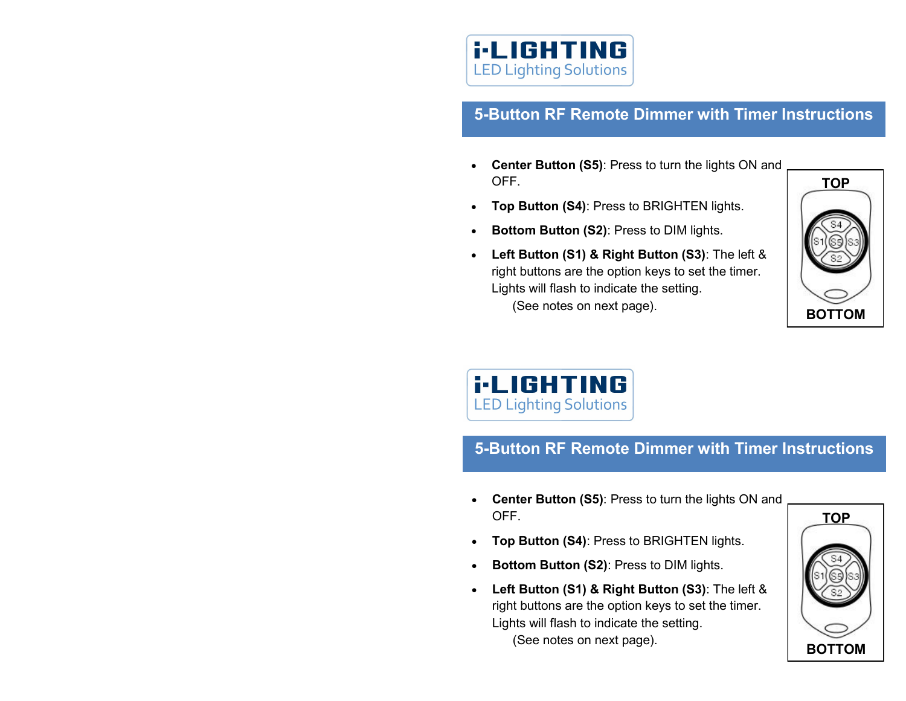

## **5-Button RF Remote Dimmer with Timer Instructions**

- **Center Button (S5)**: Press to turn the lights ON and OFF.
- **Top Button (S4)**: Press to BRIGHTEN lights.
- **Bottom Button (S2)**: Press to DIM lights.
- **Left Button (S1) & Right Button (S3)**: The left & right buttons are the option keys to set the timer. Lights will flash to indicate the setting. (See notes on next page).



**i-LIGHTING LED Lighting Solutions** 

## **5-Button RF Remote Dimmer with Timer Instructions**

- **Center Button (S5)**: Press to turn the lights ON and OFF.
- **Top Button (S4)**: Press to BRIGHTEN lights.
- **Bottom Button (S2)**: Press to DIM lights.
- **Left Button (S1) & Right Button (S3)**: The left & right buttons are the option keys to set the timer. Lights will flash to indicate the setting. (See notes on next page).